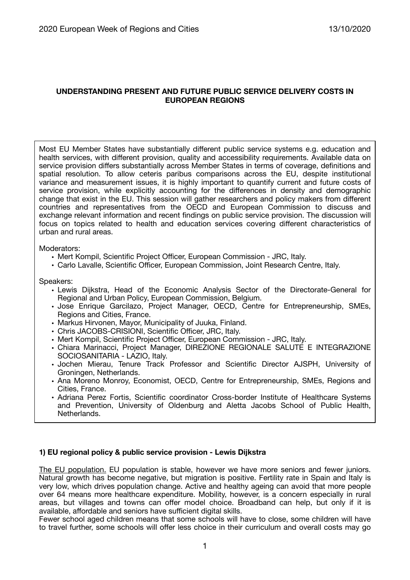# **UNDERSTANDING PRESENT AND FUTURE PUBLIC SERVICE DELIVERY COSTS IN EUROPEAN REGIONS**

Most EU Member States have substantially different public service systems e.g. education and health services, with different provision, quality and accessibility requirements. Available data on service provision differs substantially across Member States in terms of coverage, definitions and spatial resolution. To allow ceteris paribus comparisons across the EU, despite institutional variance and measurement issues, it is highly important to quantify current and future costs of service provision, while explicitly accounting for the differences in density and demographic change that exist in the EU. This session will gather researchers and policy makers from different countries and representatives from the OECD and European Commission to discuss and exchange relevant information and recent findings on public service provision. The discussion will focus on topics related to health and education services covering different characteristics of urban and rural areas.

Moderators:

- Mert Kompil, Scientific Project Officer, European Commission JRC, Italy.
- Carlo Lavalle, Scientific Officer, European Commission, Joint Research Centre, Italy.

Speakers:

- Lewis Dijkstra, Head of the Economic Analysis Sector of the Directorate-General for Regional and Urban Policy, European Commission, Belgium.
- Jose Enrique Garcilazo, Project Manager, OECD, Centre for Entrepreneurship, SMEs, Regions and Cities, France.
- Markus Hirvonen, Mayor, Municipality of Juuka, Finland.
- Chris JACOBS-CRISIONI, Scientific Officer, JRC, Italy.
- Mert Kompil, Scientific Project Officer, European Commission JRC, Italy.
- Chiara Marinacci, Project Manager, DIREZIONE REGIONALE SALUTE E INTEGRAZIONE SOCIOSANITARIA - LAZIO, Italy.
- Jochen Mierau, Tenure Track Professor and Scientific Director AJSPH, University of Groningen, Netherlands.
- Ana Moreno Monroy, Economist, OECD, Centre for Entrepreneurship, SMEs, Regions and Cities, France.
- Adriana Perez Fortis, Scientific coordinator Cross-border Institute of Healthcare Systems and Prevention, University of Oldenburg and Aletta Jacobs School of Public Health, Netherlands.

#### **1) EU regional policy & public service provision - Lewis Dijkstra**

The EU population. EU population is stable, however we have more seniors and fewer juniors. Natural growth has become negative, but migration is positive. Fertility rate in Spain and Italy is very low, which drives population change. Active and healthy ageing can avoid that more people over 64 means more healthcare expenditure. Mobility, however, is a concern especially in rural areas, but villages and towns can offer model choice. Broadband can help, but only if it is available, affordable and seniors have sufficient digital skills.

Fewer school aged children means that some schools will have to close, some children will have to travel further, some schools will offer less choice in their curriculum and overall costs may go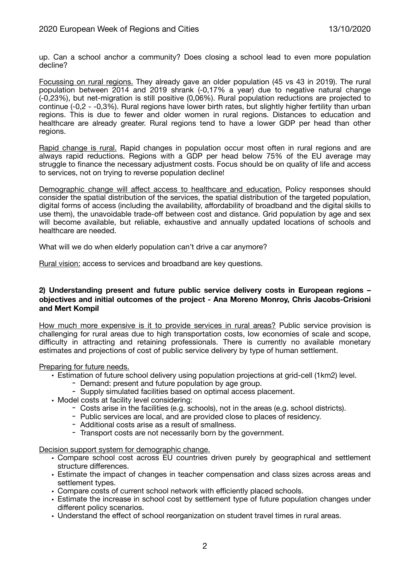up. Can a school anchor a community? Does closing a school lead to even more population decline?

Focussing on rural regions. They already gave an older population (45 vs 43 in 2019). The rural population between 2014 and 2019 shrank (-0,17% a year) due to negative natural change (-0,23%), but net-migration is still positive (0,06%). Rural population reductions are projected to continue (-0,2 - -0,3%). Rural regions have lower birth rates, but slightly higher fertility than urban regions. This is due to fewer and older women in rural regions. Distances to education and healthcare are already greater. Rural regions tend to have a lower GDP per head than other regions.

Rapid change is rural. Rapid changes in population occur most often in rural regions and are always rapid reductions. Regions with a GDP per head below 75% of the EU average may struggle to finance the necessary adjustment costs. Focus should be on quality of life and access to services, not on trying to reverse population decline!

Demographic change will affect access to healthcare and education. Policy responses should consider the spatial distribution of the services, the spatial distribution of the targeted population, digital forms of access (including the availability, affordability of broadband and the digital skills to use them), the unavoidable trade-off between cost and distance. Grid population by age and sex will become available, but reliable, exhaustive and annually updated locations of schools and healthcare are needed.

What will we do when elderly population can't drive a car anymore?

Rural vision: access to services and broadband are key questions.

### **2) Understanding present and future public service delivery costs in European regions – objectives and initial outcomes of the project - Ana Moreno Monroy, Chris Jacobs-Crisioni and Mert Kompil**

How much more expensive is it to provide services in rural areas? Public service provision is challenging for rural areas due to high transportation costs, low economies of scale and scope, difficulty in attracting and retaining professionals. There is currently no available monetary estimates and projections of cost of public service delivery by type of human settlement.

Preparing for future needs.

- Estimation of future school delivery using population projections at grid-cell (1km2) level.
	- Demand: present and future population by age group.
		- Supply simulated facilities based on optimal access placement.
- Model costs at facility level considering:
	- Costs arise in the facilities (e.g. schools), not in the areas (e.g. school districts).
	- Public services are local, and are provided close to places of residency.
	- Additional costs arise as a result of smallness.
	- Transport costs are not necessarily born by the government.

Decision support system for demographic change.

- Compare school cost across EU countries driven purely by geographical and settlement structure differences.
- Estimate the impact of changes in teacher compensation and class sizes across areas and settlement types.
- Compare costs of current school network with efficiently placed schools.
- Estimate the increase in school cost by settlement type of future population changes under different policy scenarios.
- Understand the effect of school reorganization on student travel times in rural areas.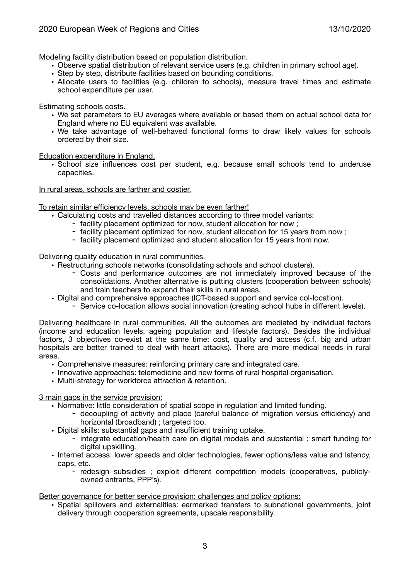Modeling facility distribution based on population distribution.

- Observe spatial distribution of relevant service users (e.g. children in primary school age).
- Step by step, distribute facilities based on bounding conditions.
- Allocate users to facilities (e.g. children to schools), measure travel times and estimate school expenditure per user.

Estimating schools costs.

- We set parameters to EU averages where available or based them on actual school data for England where no EU equivalent was available.
- We take advantage of well-behaved functional forms to draw likely values for schools ordered by their size.

Education expenditure in England.

• School size influences cost per student, e.g. because small schools tend to underuse capacities.

In rural areas, schools are farther and costier.

### To retain similar efficiency levels, schools may be even farther!

- Calculating costs and travelled distances according to three model variants:
	- facility placement optimized for now, student allocation for now ;
	- facility placement optimized for now, student allocation for 15 years from now ;
	- facility placement optimized and student allocation for 15 years from now.

### Delivering quality education in rural communities.

• Restructuring schools networks (consolidating schools and school clusters).

- Costs and performance outcomes are not immediately improved because of the consolidations. Another alternative is putting clusters (cooperation between schools) and train teachers to expand their skills in rural areas.
- Digital and comprehensive approaches (ICT-based support and service col-location).
	- Service co-location allows social innovation (creating school hubs in different levels).

Delivering healthcare in rural communities. All the outcomes are mediated by individual factors (income and education levels, ageing population and lifestyle factors). Besides the individual factors, 3 objectives co-exist at the same time: cost, quality and access (c.f. big and urban hospitals are better trained to deal with heart attacks). There are more medical needs in rural areas.

- Comprehensive measures: reinforcing primary care and integrated care.
- Innovative approaches: telemedicine and new forms of rural hospital organisation.
- Multi-strategy for workforce attraction & retention.

3 main gaps in the service provision:

- Normative: little consideration of spatial scope in regulation and limited funding.
	- decoupling of activity and place (careful balance of migration versus efficiency) and horizontal (broadband) ; targeted too.
- Digital skills: substantial gaps and insufficient training uptake.
	- integrate education/health care on digital models and substantial ; smart funding for digital upskilling.
- Internet access: lower speeds and older technologies, fewer options/less value and latency, caps, etc.
	- redesign subsidies ; exploit different competition models (cooperatives, publiclyowned entrants, PPP's).

Better governance for better service provision: challenges and policy options:

• Spatial spillovers and externalities: earmarked transfers to subnational governments, joint delivery through cooperation agreements, upscale responsibility.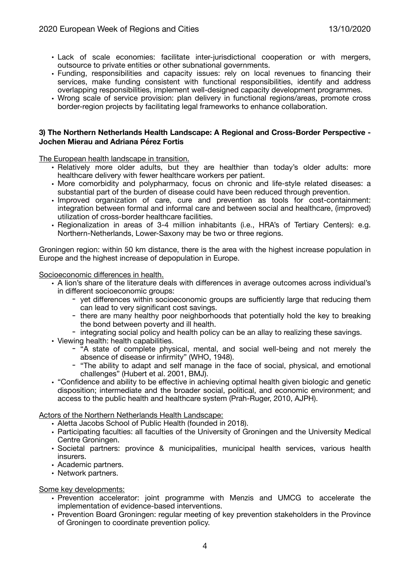- Lack of scale economies: facilitate inter-jurisdictional cooperation or with mergers, outsource to private entities or other subnational governments.
- Funding, responsibilities and capacity issues: rely on local revenues to financing their services, make funding consistent with functional responsibilities, identify and address overlapping responsibilities, implement well-designed capacity development programmes.
- Wrong scale of service provision: plan delivery in functional regions/areas, promote cross border-region projects by facilitating legal frameworks to enhance collaboration.

#### **3) The Northern Netherlands Health Landscape: A Regional and Cross-Border Perspective - Jochen Mierau and Adriana Pérez Fortis**

The European health landscape in transition.

- Relatively more older adults, but they are healthier than today's older adults: more healthcare delivery with fewer healthcare workers per patient.
- More comorbidity and polypharmacy, focus on chronic and life-style related diseases: a substantial part of the burden of disease could have been reduced through prevention.
- Improved organization of care, cure and prevention as tools for cost-containment: integration between formal and informal care and between social and healthcare, (improved) utilization of cross-border healthcare facilities.
- Regionalization in areas of 3-4 million inhabitants (i.e., HRA's of Tertiary Centers): e.g. Northern-Netherlands, Lower-Saxony may be two or three regions.

Groningen region: within 50 km distance, there is the area with the highest increase population in Europe and the highest increase of depopulation in Europe.

Socioeconomic differences in health.

- A lion's share of the literature deals with differences in average outcomes across individual's in different socioeconomic groups:
	- vet differences within socioeconomic groups are sufficiently large that reducing them can lead to very significant cost savings.
	- there are many healthy poor neighborhoods that potentially hold the key to breaking the bond between poverty and ill health.
	- integrating social policy and health policy can be an allay to realizing these savings.
- Viewing health: health capabilities.
	- "A state of complete physical, mental, and social well-being and not merely the absence of disease or infirmity" (WHO, 1948).
	- "The ability to adapt and self manage in the face of social, physical, and emotional challenges" (Hubert et al. 2001, BMJ).
- "Confidence and ability to be effective in achieving optimal health given biologic and genetic disposition; intermediate and the broader social, political, and economic environment; and access to the public health and healthcare system (Prah-Ruger, 2010, AJPH).

# Actors of the Northern Netherlands Health Landscape:

- Aletta Jacobs School of Public Health (founded in 2018).
- Participating faculties: all faculties of the University of Groningen and the University Medical Centre Groningen.
- Societal partners: province & municipalities, municipal health services, various health insurers.
- Academic partners.
- Network partners.

Some key developments:

- Prevention accelerator: joint programme with Menzis and UMCG to accelerate the implementation of evidence-based interventions.
- Prevention Board Groningen: regular meeting of key prevention stakeholders in the Province of Groningen to coordinate prevention policy.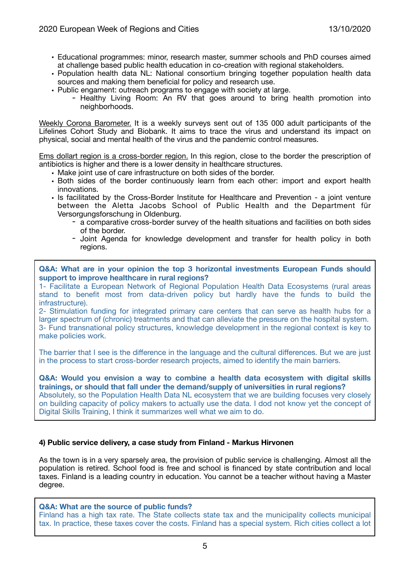- Educational programmes: minor, research master, summer schools and PhD courses aimed at challenge based public health education in co-creation with regional stakeholders.
- Population health data NL: National consortium bringing together population health data sources and making them beneficial for policy and research use.
- Public engament: outreach programs to engage with society at large.
	- Healthy Living Room: An RV that goes around to bring health promotion into neighborhoods.

Weekly Corona Barometer. It is a weekly surveys sent out of 135 000 adult participants of the Lifelines Cohort Study and Biobank. It aims to trace the virus and understand its impact on physical, social and mental health of the virus and the pandemic control measures.

Ems dollart region is a cross-border region. In this region, close to the border the prescription of antibiotics is higher and there is a lower density in healthcare structures.

- Make joint use of care infrastructure on both sides of the border.
- Both sides of the border continuously learn from each other: import and export health innovations.
- Is facilitated by the Cross-Border Institute for Healthcare and Prevention a joint venture between the Aletta Jacobs School of Public Health and the Department für Versorgungsforschung in Oldenburg.
	- a comparative cross-border survey of the health situations and facilities on both sides of the border.
	- Joint Agenda for knowledge development and transfer for health policy in both regions.

**Q&A: What are in your opinion the top 3 horizontal investments European Funds should support to improve healthcare in rural regions?** 

1- Facilitate a European Network of Regional Population Health Data Ecosystems (rural areas stand to benefit most from data-driven policy but hardly have the funds to build the infrastructure).

2- Stimulation funding for integrated primary care centers that can serve as health hubs for a larger spectrum of (chronic) treatments and that can alleviate the pressure on the hospital system. 3- Fund transnational policy structures, knowledge development in the regional context is key to make policies work.

The barrier that I see is the difference in the language and the cultural differences. But we are just in the process to start cross-border research projects, aimed to identify the main barriers.

**Q&A: Would you envision a way to combine a health data ecosystem with digital skills trainings, or should that fall under the demand/supply of universities in rural regions?**  Absolutely, so the Population Health Data NL ecosystem that we are building focuses very closely on building capacity of policy makers to actually use the data. I dod not know yet the concept of Digital Skills Training, I think it summarizes well what we aim to do.

# **4) Public service delivery, a case study from Finland - Markus Hirvonen**

As the town is in a very sparsely area, the provision of public service is challenging. Almost all the population is retired. School food is free and school is financed by state contribution and local taxes. Finland is a leading country in education. You cannot be a teacher without having a Master degree.

#### **Q&A: What are the source of public funds?**

Finland has a high tax rate. The State collects state tax and the municipality collects municipal tax. In practice, these taxes cover the costs. Finland has a special system. Rich cities collect a lot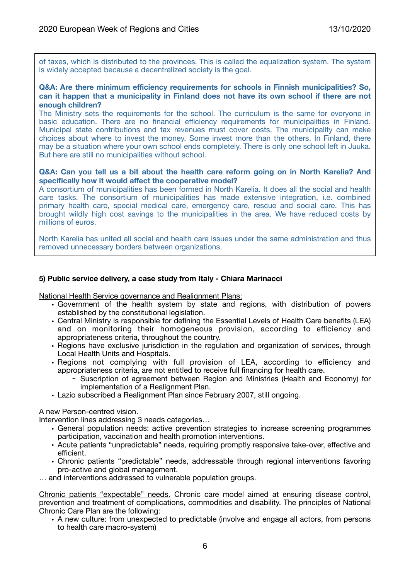of taxes, which is distributed to the provinces. This is called the equalization system. The system is widely accepted because a decentralized society is the goal.

### **Q&A: Are there minimum efficiency requirements for schools in Finnish municipalities? So, can it happen that a municipality in Finland does not have its own school if there are not enough children?**

The Ministry sets the requirements for the school. The curriculum is the same for everyone in basic education. There are no financial efficiency requirements for municipalities in Finland. Municipal state contributions and tax revenues must cover costs. The municipality can make choices about where to invest the money. Some invest more than the others. In Finland, there may be a situation where your own school ends completely. There is only one school left in Juuka. But here are still no municipalities without school.

### **Q&A: Can you tell us a bit about the health care reform going on in North Karelia? And specifically how it would affect the cooperative model?**

A consortium of municipalities has been formed in North Karelia. It does all the social and health care tasks. The consortium of municipalities has made extensive integration, i.e. combined primary health care, special medical care, emergency care, rescue and social care. This has brought wildly high cost savings to the municipalities in the area. We have reduced costs by millions of euros.

North Karelia has united all social and health care issues under the same administration and thus removed unnecessary borders between organizations.

# **5) Public service delivery, a case study from Italy - Chiara Marinacci**

National Health Service governance and Realignment Plans:

- Government of the health system by state and regions, with distribution of powers established by the constitutional legislation.
- Central Ministry is responsible for defining the Essential Levels of Health Care benefits (LEA) and on monitoring their homogeneous provision, according to efficiency and appropriateness criteria, throughout the country.
- Regions have exclusive jurisdiction in the regulation and organization of services, through Local Health Units and Hospitals.
- Regions not complying with full provision of LEA, according to efficiency and appropriateness criteria, are not entitled to receive full financing for health care.
	- Suscription of agreement between Region and Ministries (Health and Economy) for implementation of a Realignment Plan.
- Lazio subscribed a Realignment Plan since February 2007, still ongoing.

#### A new Person-centred vision.

Intervention lines addressing 3 needs categories…

- General population needs: active prevention strategies to increase screening programmes participation, vaccination and health promotion interventions.
- Acute patients "unpredictable" needs, requiring promptly responsive take-over, effective and efficient.
- Chronic patients "predictable" needs, addressable through regional interventions favoring pro-active and global management.
- … and interventions addressed to vulnerable population groups.

Chronic patients "expectable" needs. Chronic care model aimed at ensuring disease control, prevention and treatment of complications, commodities and disability. The principles of National Chronic Care Plan are the following:

• A new culture: from unexpected to predictable (involve and engage all actors, from persons to health care macro-system)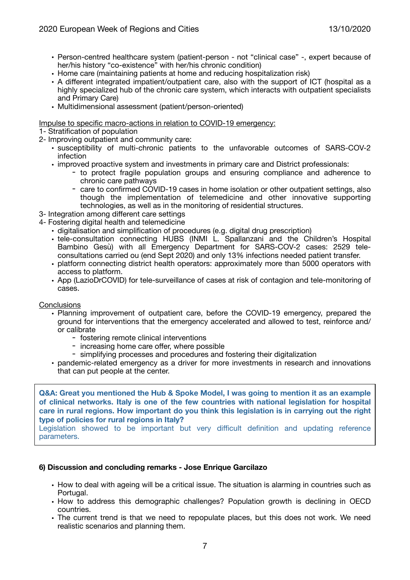- Person-centred healthcare system (patient-person not "clinical case" -, expert because of her/his history "co-existence" with her/his chronic condition)
- Home care (maintaining patients at home and reducing hospitalization risk)
- A different integrated impatient/outpatient care, also with the support of ICT (hospital as a highly specialized hub of the chronic care system, which interacts with outpatient specialists and Primary Care)
- Multidimensional assessment (patient/person-oriented)

Impulse to specific macro-actions in relation to COVID-19 emergency:

- 1- Stratification of population
- 2- Improving outpatient and community care:
	- susceptibility of multi-chronic patients to the unfavorable outcomes of SARS-COV-2 infection
	- improved proactive system and investments in primary care and District professionals:
		- to protect fragile population groups and ensuring compliance and adherence to chronic care pathways
		- care to confirmed COVID-19 cases in home isolation or other outpatient settings, also though the implementation of telemedicine and other innovative supporting technologies, as well as in the monitoring of residential structures.
- 3- Integration among different care settings
- 4- Fostering digital health and telemedicine
	- digitalisation and simplification of procedures (e.g. digital drug prescription)
	- tele-consultation connecting HUBS (INMI L. Spallanzani and the Children's Hospital Bambino Gesù) with all Emergency Department for SARS-COV-2 cases: 2529 teleconsultations carried ou (end Sept 2020) and only 13% infections needed patient transfer.
	- platform connecting district health operators: approximately more than 5000 operators with access to platform.
	- App (LazioDrCOVID) for tele-surveillance of cases at risk of contagion and tele-monitoring of cases.

# **Conclusions**

- Planning improvement of outpatient care, before the COVID-19 emergency, prepared the ground for interventions that the emergency accelerated and allowed to test, reinforce and/ or calibrate
	- fostering remote clinical interventions
	- increasing home care offer, where possible
	- simplifying processes and procedures and fostering their digitalization
- pandemic-related emergency as a driver for more investments in research and innovations that can put people at the center.

**Q&A: Great you mentioned the Hub & Spoke Model, I was going to mention it as an example of clinical networks. Italy is one of the few countries with national legislation for hospital care in rural regions. How important do you think this legislation is in carrying out the right type of policies for rural regions in Italy?** 

Legislation showed to be important but very difficult definition and updating reference parameters.

# **6) Discussion and concluding remarks - Jose Enrique Garcilazo**

- How to deal with ageing will be a critical issue. The situation is alarming in countries such as Portugal.
- How to address this demographic challenges? Population growth is declining in OECD countries.
- The current trend is that we need to repopulate places, but this does not work. We need realistic scenarios and planning them.